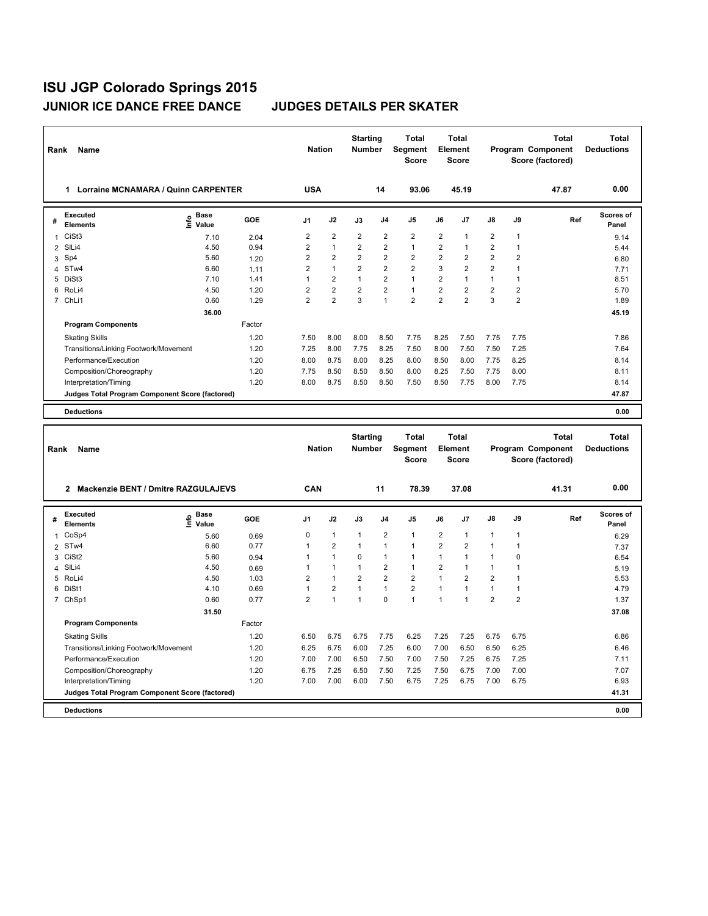| Rank           | Name                                                           |                           |              |                                  | <b>Nation</b>                    | <b>Starting</b><br><b>Number</b> |                                  | <b>Total</b><br>Segment<br><b>Score</b> |                                  | Total<br>Element<br>Score                      |                     |                                  | <b>Total</b><br>Program Component<br>Score (factored) | <b>Total</b><br><b>Deductions</b> |
|----------------|----------------------------------------------------------------|---------------------------|--------------|----------------------------------|----------------------------------|----------------------------------|----------------------------------|-----------------------------------------|----------------------------------|------------------------------------------------|---------------------|----------------------------------|-------------------------------------------------------|-----------------------------------|
|                | 1 Lorraine MCNAMARA / Quinn CARPENTER                          |                           |              | <b>USA</b>                       |                                  |                                  | 14                               | 93.06                                   |                                  | 45.19                                          |                     |                                  | 47.87                                                 | 0.00                              |
| #              | <b>Executed</b><br>Elements                                    | e Base<br>⊆ Value         | <b>GOE</b>   | J1                               | J2                               | J3                               | J <sub>4</sub>                   | J5                                      | J6                               | J7                                             | J8                  | J9                               | Ref                                                   | <b>Scores of</b><br>Panel         |
| 1              | CiSt <sub>3</sub>                                              | 7.10                      | 2.04         | $\overline{2}$                   | $\overline{2}$                   | $\overline{2}$                   | $\overline{2}$                   | $\overline{2}$                          | $\overline{2}$                   | $\mathbf{1}$                                   | $\overline{2}$      | 1                                |                                                       | 9.14                              |
| $\overline{2}$ | SILi4                                                          | 4.50                      | 0.94         | $\overline{\mathbf{c}}$          | $\mathbf{1}$                     | $\overline{\mathbf{c}}$          | $\overline{2}$                   | $\mathbf{1}$                            | $\overline{2}$                   | 1                                              | $\overline{2}$      | 1                                |                                                       | 5.44                              |
| 3              | Sp4                                                            | 5.60                      | 1.20         | $\overline{2}$                   | $\overline{2}$                   | $\overline{2}$                   | $\overline{2}$                   | $\overline{2}$                          | $\overline{2}$                   | $\overline{2}$                                 | $\overline{2}$      | $\overline{2}$                   |                                                       | 6.80                              |
| 4              | STw4                                                           | 6.60                      | 1.11         | $\overline{2}$                   | $\mathbf{1}$                     | 2                                | $\overline{2}$                   | $\overline{2}$                          | 3                                | $\overline{2}$                                 | $\overline{2}$      | 1                                |                                                       | 7.71                              |
| 5              | DiSt3                                                          | 7.10                      | 1.41         | $\mathbf{1}$                     | $\overline{2}$                   | 1                                | $\overline{2}$                   | $\mathbf{1}$                            | $\overline{2}$                   | $\mathbf{1}$                                   | $\mathbf{1}$        | 1                                |                                                       | 8.51                              |
| 6              | RoLi4                                                          | 4.50<br>0.60              | 1.20         | $\overline{c}$<br>$\overline{2}$ | $\overline{2}$<br>$\overline{2}$ | $\overline{2}$<br>3              | $\overline{2}$<br>$\mathbf{1}$   | $\mathbf{1}$<br>$\overline{2}$          | $\overline{2}$<br>$\overline{c}$ | $\overline{2}$<br>$\overline{2}$               | $\overline{2}$<br>3 | $\overline{2}$<br>$\overline{2}$ |                                                       | 5.70<br>1.89                      |
| 7              | ChLi1                                                          |                           | 1.29         |                                  |                                  |                                  |                                  |                                         |                                  |                                                |                     |                                  |                                                       |                                   |
|                | <b>Program Components</b>                                      | 36.00                     | Factor       |                                  |                                  |                                  |                                  |                                         |                                  |                                                |                     |                                  |                                                       | 45.19                             |
|                | <b>Skating Skills</b>                                          |                           | 1.20         | 7.50                             | 8.00                             | 8.00                             | 8.50                             | 7.75                                    | 8.25                             | 7.50                                           | 7.75                | 7.75                             |                                                       | 7.86                              |
|                | Transitions/Linking Footwork/Movement                          |                           | 1.20         | 7.25                             | 8.00                             | 7.75                             | 8.25                             | 7.50                                    | 8.00                             | 7.50                                           | 7.50                | 7.25                             |                                                       | 7.64                              |
|                | Performance/Execution                                          |                           | 1.20         | 8.00                             | 8.75                             | 8.00                             | 8.25                             | 8.00                                    | 8.50                             | 8.00                                           | 7.75                | 8.25                             |                                                       | 8.14                              |
|                | Composition/Choreography                                       |                           | 1.20         | 7.75                             | 8.50                             | 8.50                             | 8.50                             | 8.00                                    | 8.25                             | 7.50                                           | 7.75                | 8.00                             |                                                       | 8.11                              |
|                | Interpretation/Timing                                          |                           | 1.20         | 8.00                             | 8.75                             | 8.50                             | 8.50                             | 7.50                                    | 8.50                             | 7.75                                           | 8.00                | 7.75                             |                                                       | 8.14                              |
|                | Judges Total Program Component Score (factored)                |                           |              |                                  |                                  |                                  |                                  |                                         |                                  |                                                |                     |                                  |                                                       | 47.87                             |
|                | <b>Deductions</b>                                              |                           |              |                                  |                                  |                                  |                                  |                                         |                                  |                                                |                     |                                  |                                                       | 0.00                              |
|                |                                                                |                           |              |                                  |                                  |                                  |                                  |                                         |                                  |                                                |                     |                                  |                                                       |                                   |
| Rank           | Name                                                           |                           |              |                                  | <b>Nation</b>                    | <b>Starting</b><br>Number        |                                  | Total<br>Segment<br><b>Score</b>        |                                  | <b>Total</b><br><b>Element</b><br><b>Score</b> |                     |                                  | <b>Total</b><br>Program Component<br>Score (factored) | <b>Total</b><br><b>Deductions</b> |
|                | 2 Mackenzie BENT / Dmitre RAZGULAJEVS                          |                           |              | CAN                              |                                  |                                  | 11                               | 78.39                                   |                                  | 37.08                                          |                     |                                  | 41.31                                                 | 0.00                              |
| #              | Executed<br><b>Elements</b>                                    | Base<br>e ¤ase<br>⊆ Value | <b>GOE</b>   | J1                               | J2                               | J3                               | J <sub>4</sub>                   | J5                                      | J6                               | J7                                             | J8                  | J9                               | Ref                                                   | <b>Scores of</b><br>Panel         |
| $\mathbf{1}$   | CoSp4                                                          | 5.60                      | 0.69         | $\pmb{0}$                        | $\mathbf{1}$                     | $\mathbf{1}$                     | $\overline{2}$                   | $\mathbf{1}$                            | $\overline{2}$                   | $\mathbf{1}$                                   | 1                   | 1                                |                                                       | 6.29                              |
| $\overline{2}$ | STw4                                                           | 6.60                      | 0.77         | 1                                | $\overline{2}$                   | 1                                | $\overline{1}$                   | $\mathbf{1}$                            | $\overline{2}$                   | $\overline{2}$                                 | 1                   | 1                                |                                                       | 7.37                              |
| 3              | CiSt <sub>2</sub>                                              | 5.60                      | 0.94         | $\mathbf{1}$                     | $\mathbf{1}$                     | 0                                | $\overline{1}$                   | $\mathbf{1}$                            | $\mathbf{1}$                     | $\mathbf{1}$                                   | 1                   | 0                                |                                                       | 6.54                              |
| 4              | SILi4                                                          | 4.50                      | 0.69         | $\overline{1}$<br>$\overline{2}$ | $\mathbf{1}$                     | 1<br>$\overline{2}$              | $\overline{2}$<br>$\overline{2}$ | $\mathbf{1}$<br>$\overline{2}$          | $\overline{2}$                   | $\mathbf{1}$<br>$\overline{2}$                 | 1<br>$\overline{2}$ | 1                                |                                                       | 5.19                              |
| 5              | RoLi4<br>6 DiSt1                                               | 4.50<br>4.10              | 1.03<br>0.69 | $\mathbf{1}$                     | $\mathbf{1}$<br>$\overline{2}$   | $\mathbf{1}$                     | $\mathbf{1}$                     | $\overline{2}$                          | 1<br>1                           | $\mathbf{1}$                                   | 1                   | 1<br>1                           |                                                       | 5.53<br>4.79                      |
| 7              | ChSp1                                                          | 0.60                      | 0.77         | $\overline{2}$                   | $\mathbf{1}$                     | $\mathbf{1}$                     | $\mathbf 0$                      | $\mathbf{1}$                            | $\mathbf{1}$                     | 1                                              | $\overline{2}$      | $\overline{2}$                   |                                                       | 1.37                              |
|                |                                                                | 31.50                     |              |                                  |                                  |                                  |                                  |                                         |                                  |                                                |                     |                                  |                                                       | 37.08                             |
|                | <b>Program Components</b>                                      |                           | Factor       |                                  |                                  |                                  |                                  |                                         |                                  |                                                |                     |                                  |                                                       |                                   |
|                |                                                                |                           | 1.20         | 6.50                             | 6.75                             | 6.75                             | 7.75                             | 6.25                                    | 7.25                             | 7.25                                           | 6.75                | 6.75                             |                                                       | 6.86                              |
|                | <b>Skating Skills</b><br>Transitions/Linking Footwork/Movement |                           | 1.20         | 6.25                             | 6.75                             | 6.00                             | 7.25                             | 6.00                                    | 7.00                             | 6.50                                           | 6.50                | 6.25                             |                                                       | 6.46                              |
|                | Performance/Execution                                          |                           | 1.20         | 7.00                             | 7.00                             | 6.50                             | 7.50                             | 7.00                                    | 7.50                             | 7.25                                           | 6.75                | 7.25                             |                                                       | 7.11                              |
|                | Composition/Choreography                                       |                           | 1.20         | 6.75                             | 7.25                             | 6.50                             | 7.50                             | 7.25                                    | 7.50                             | 6.75                                           | 7.00                | 7.00                             |                                                       | 7.07                              |
|                | Interpretation/Timing                                          |                           | 1.20         | 7.00                             | 7.00                             | 6.00                             | 7.50                             | 6.75                                    | 7.25                             | 6.75                                           | 7.00                | 6.75                             |                                                       | 6.93                              |
|                | Judges Total Program Component Score (factored)                |                           |              |                                  |                                  |                                  |                                  |                                         |                                  |                                                |                     |                                  |                                                       | 41.31                             |
|                | <b>Deductions</b>                                              |                           |              |                                  |                                  |                                  |                                  |                                         |                                  |                                                |                     |                                  |                                                       | 0.00                              |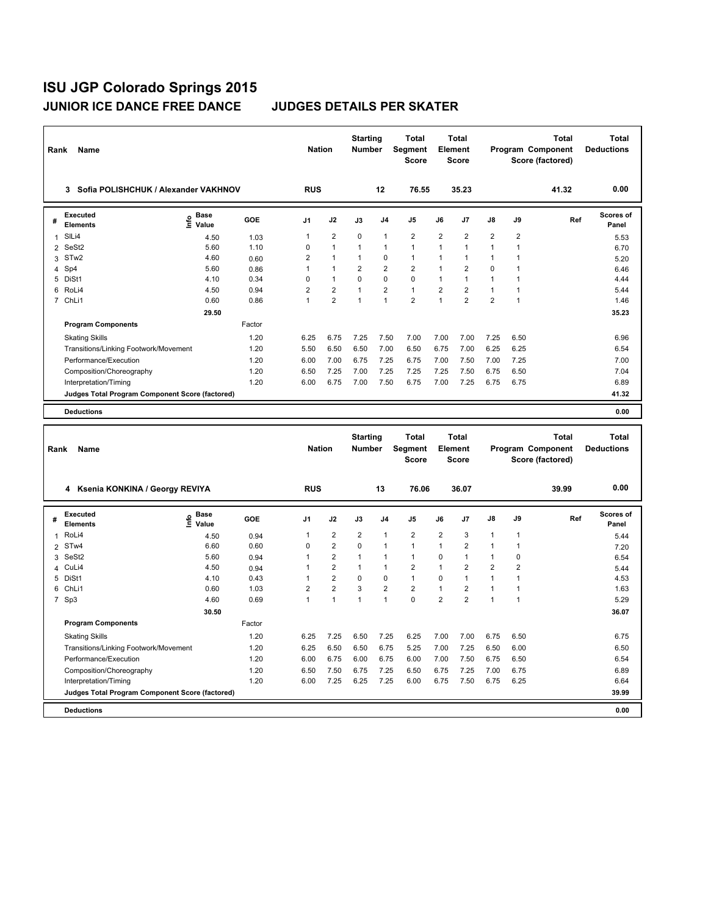| Rank                | Name                                            |                       |              | <b>Nation</b>                  |                                  | <b>Starting</b><br><b>Number</b> |                                | <b>Total</b><br>Segment<br>Score        |                                | <b>Total</b><br>Element<br>Score |                                |                   | <b>Total</b><br>Program Component<br>Score (factored) | <b>Total</b><br><b>Deductions</b> |
|---------------------|-------------------------------------------------|-----------------------|--------------|--------------------------------|----------------------------------|----------------------------------|--------------------------------|-----------------------------------------|--------------------------------|----------------------------------|--------------------------------|-------------------|-------------------------------------------------------|-----------------------------------|
|                     | 3 Sofia POLISHCHUK / Alexander VAKHNOV          |                       |              | <b>RUS</b>                     |                                  |                                  | 12                             | 76.55                                   |                                | 35.23                            |                                |                   | 41.32                                                 | 0.00                              |
| #                   | <b>Executed</b><br><b>Elements</b>              | e Base<br>⊆ Value     | <b>GOE</b>   | J <sub>1</sub>                 | J2                               | J3                               | J <sub>4</sub>                 | J5                                      | J6                             | J7                               | J8                             | J9                | Ref                                                   | <b>Scores of</b><br>Panel         |
| $\mathbf{1}$        | SILi4                                           | 4.50                  | 1.03         | $\mathbf{1}$                   | $\overline{2}$                   | 0                                | 1                              | $\overline{2}$                          | $\overline{2}$                 | $\overline{2}$                   | $\overline{2}$                 | 2                 |                                                       | 5.53                              |
| $\overline{2}$      | SeSt2                                           | 5.60                  | 1.10         | 0                              | $\mathbf{1}$                     | 1                                | $\overline{1}$                 | $\mathbf{1}$                            | $\mathbf{1}$                   | $\mathbf{1}$                     | 1                              | 1                 |                                                       | 6.70                              |
| 3                   | STw <sub>2</sub>                                | 4.60                  | 0.60         | $\overline{2}$                 | $\mathbf{1}$                     | 1                                | $\mathbf 0$                    | $\mathbf{1}$                            | 1                              | $\mathbf{1}$                     | 1                              | 1                 |                                                       | 5.20                              |
| 4                   | Sp4                                             | 5.60                  | 0.86         | $\mathbf{1}$                   | $\mathbf{1}$                     | 2                                | $\overline{\mathbf{c}}$        | $\overline{2}$                          | 1                              | $\overline{2}$                   | 0                              | 1                 |                                                       | 6.46                              |
|                     | 5 DiSt1                                         | 4.10                  | 0.34         | $\pmb{0}$                      | $\mathbf{1}$                     | 0                                | $\pmb{0}$                      | $\pmb{0}$                               | $\mathbf{1}$                   | $\mathbf{1}$                     | 1                              | 1                 |                                                       | 4.44                              |
| 6<br>$\overline{7}$ | RoLi4<br>ChLi1                                  | 4.50<br>0.60          | 0.94<br>0.86 | $\overline{2}$<br>$\mathbf{1}$ | $\overline{2}$<br>$\overline{2}$ | 1<br>$\mathbf{1}$                | $\overline{2}$<br>$\mathbf{1}$ | $\mathbf{1}$<br>$\overline{2}$          | $\overline{2}$<br>$\mathbf{1}$ | $\overline{2}$<br>$\overline{2}$ | $\mathbf{1}$<br>$\overline{2}$ | 1<br>$\mathbf{1}$ |                                                       | 5.44<br>1.46                      |
|                     |                                                 |                       |              |                                |                                  |                                  |                                |                                         |                                |                                  |                                |                   |                                                       |                                   |
|                     |                                                 | 29.50                 |              |                                |                                  |                                  |                                |                                         |                                |                                  |                                |                   |                                                       | 35.23                             |
|                     | <b>Program Components</b>                       |                       | Factor       |                                |                                  |                                  |                                |                                         |                                |                                  |                                |                   |                                                       |                                   |
|                     | <b>Skating Skills</b>                           |                       | 1.20         | 6.25                           | 6.75                             | 7.25                             | 7.50                           | 7.00                                    | 7.00                           | 7.00                             | 7.25                           | 6.50              |                                                       | 6.96                              |
|                     | Transitions/Linking Footwork/Movement           |                       | 1.20         | 5.50                           | 6.50                             | 6.50                             | 7.00                           | 6.50                                    | 6.75                           | 7.00                             | 6.25                           | 6.25              |                                                       | 6.54                              |
|                     | Performance/Execution                           |                       | 1.20         | 6.00                           | 7.00                             | 6.75                             | 7.25                           | 6.75                                    | 7.00                           | 7.50                             | 7.00                           | 7.25              |                                                       | 7.00                              |
|                     | Composition/Choreography                        |                       | 1.20         | 6.50                           | 7.25                             | 7.00                             | 7.25                           | 7.25                                    | 7.25                           | 7.50                             | 6.75                           | 6.50              |                                                       | 7.04                              |
|                     | Interpretation/Timing                           |                       | 1.20         | 6.00                           | 6.75                             | 7.00                             | 7.50                           | 6.75                                    | 7.00                           | 7.25                             | 6.75                           | 6.75              |                                                       | 6.89<br>41.32                     |
|                     | Judges Total Program Component Score (factored) |                       |              |                                |                                  |                                  |                                |                                         |                                |                                  |                                |                   |                                                       |                                   |
|                     | <b>Deductions</b>                               |                       |              |                                |                                  |                                  |                                |                                         |                                |                                  |                                |                   |                                                       | 0.00                              |
|                     |                                                 |                       |              |                                |                                  |                                  |                                |                                         |                                |                                  |                                |                   |                                                       |                                   |
| Rank                | Name                                            |                       |              | <b>Nation</b>                  |                                  | <b>Starting</b><br><b>Number</b> |                                | Total<br><b>Segment</b><br><b>Score</b> |                                | <b>Total</b><br>Element<br>Score |                                |                   | <b>Total</b><br>Program Component<br>Score (factored) | <b>Total</b><br><b>Deductions</b> |
|                     | 4 Ksenia KONKINA / Georgy REVIYA                |                       |              | <b>RUS</b>                     |                                  |                                  | 13                             | 76.06                                   |                                | 36.07                            |                                |                   | 39.99                                                 | 0.00                              |
| #                   | <b>Executed</b><br><b>Elements</b>              | Base<br>١nf٥<br>Value | GOE          | J1                             | J2                               | J3                               | J4                             | J5                                      | J6                             | J7                               | J8                             | J9                | Ref                                                   | Scores of<br>Panel                |
| 1                   | RoLi4                                           | 4.50                  | 0.94         | $\mathbf{1}$                   | $\overline{2}$                   | 2                                | $\mathbf{1}$                   | $\overline{2}$                          | $\overline{2}$                 | 3                                | 1                              | 1                 |                                                       | 5.44                              |
| $\overline{2}$      | STw4                                            | 6.60                  | 0.60         | 0                              | $\overline{2}$                   | 0                                | $\overline{1}$                 | $\mathbf{1}$                            | 1                              | $\overline{\mathbf{c}}$          | 1                              | 1                 |                                                       | 7.20                              |
| 3                   | SeSt2                                           | 5.60                  | 0.94         | 1                              | $\overline{2}$                   | 1                                | $\overline{1}$                 | $\mathbf{1}$                            | 0                              | 1                                | 1                              | 0                 |                                                       | 6.54                              |
| 4                   | CuLi4                                           | 4.50                  | 0.94         | $\mathbf{1}$                   | $\overline{\mathbf{c}}$          | 1                                | $\overline{1}$                 | $\overline{2}$                          | $\mathbf{1}$                   | $\overline{\mathbf{c}}$          | $\overline{\mathbf{c}}$        | 2                 |                                                       | 5.44                              |
| 5                   | DiSt1                                           | 4.10                  | 0.43         | 1                              | $\overline{2}$                   | 0                                | $\mathbf 0$                    | $\mathbf{1}$                            | 0                              | $\mathbf{1}$                     | $\mathbf{1}$                   | 1                 |                                                       | 4.53                              |
|                     | 6 ChLi1                                         | 0.60                  | 1.03         | 2                              | $\overline{2}$                   | 3                                | $\overline{\mathbf{c}}$        | $\overline{2}$                          | $\mathbf{1}$                   | $\overline{2}$                   | 1                              | 1                 |                                                       | 1.63                              |
|                     | 7 Sp3                                           | 4.60                  | 0.69         | $\mathbf{1}$                   | $\mathbf{1}$                     | $\mathbf{1}$                     | $\mathbf{1}$                   | $\pmb{0}$                               | $\overline{2}$                 | $\overline{2}$                   | 1                              | 1                 |                                                       | 5.29                              |
|                     |                                                 | 30.50                 |              |                                |                                  |                                  |                                |                                         |                                |                                  |                                |                   |                                                       | 36.07                             |
|                     | <b>Program Components</b>                       |                       | Factor       |                                |                                  |                                  |                                |                                         |                                |                                  |                                |                   |                                                       |                                   |
|                     | <b>Skating Skills</b>                           |                       | 1.20         | 6.25                           | 7.25                             | 6.50                             | 7.25                           | 6.25                                    | 7.00                           | 7.00                             | 6.75                           | 6.50              |                                                       | 6.75                              |
|                     | Transitions/Linking Footwork/Movement           |                       | 1.20         | 6.25                           | 6.50                             | 6.50                             | 6.75                           | 5.25                                    | 7.00                           | 7.25                             | 6.50                           | 6.00              |                                                       | 6.50                              |
|                     | Performance/Execution                           |                       | 1.20         | 6.00                           | 6.75                             | 6.00                             | 6.75                           | 6.00                                    | 7.00                           | 7.50                             | 6.75                           | 6.50              |                                                       | 6.54                              |
|                     | Composition/Choreography                        |                       | 1.20         | 6.50                           | 7.50                             | 6.75                             | 7.25                           | 6.50                                    | 6.75                           | 7.25                             | 7.00                           | 6.75              |                                                       | 6.89                              |
|                     | Interpretation/Timing                           |                       | 1.20         | 6.00                           | 7.25                             | 6.25                             | 7.25                           | 6.00                                    | 6.75                           | 7.50                             | 6.75                           | 6.25              |                                                       | 6.64                              |
|                     | Judges Total Program Component Score (factored) |                       |              |                                |                                  |                                  |                                |                                         |                                |                                  |                                |                   |                                                       | 39.99<br>0.00                     |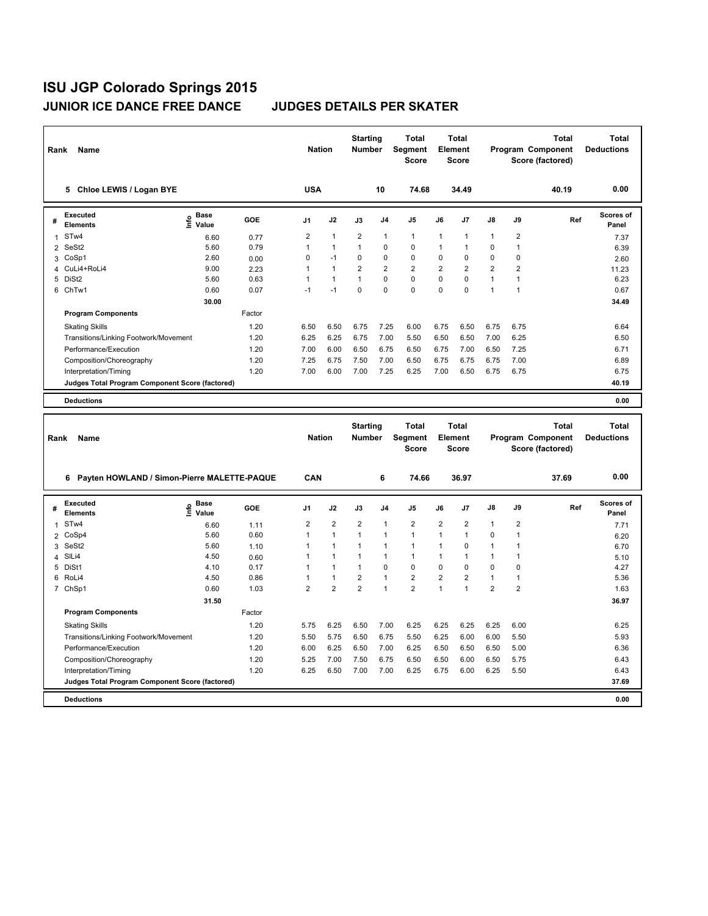|                | Name<br>Rank                                    |                                             |            | <b>Nation</b>  |                | <b>Starting</b><br><b>Number</b> |                | Total<br>Segment<br><b>Score</b>        |                | <b>Total</b><br>Element<br><b>Score</b>        |                         |                | <b>Total</b><br>Program Component<br>Score (factored) | <b>Total</b><br><b>Deductions</b> |
|----------------|-------------------------------------------------|---------------------------------------------|------------|----------------|----------------|----------------------------------|----------------|-----------------------------------------|----------------|------------------------------------------------|-------------------------|----------------|-------------------------------------------------------|-----------------------------------|
|                | 5 Chloe LEWIS / Logan BYE                       |                                             |            | <b>USA</b>     |                |                                  | 10             | 74.68                                   |                | 34.49                                          |                         |                | 40.19                                                 | 0.00                              |
| #              | <b>Executed</b><br><b>Elements</b>              | <b>Base</b><br>e<br>Value                   | GOE        | J1             | J2             | J3                               | J <sub>4</sub> | J5                                      | J6             | J7                                             | J8                      | J9             | Ref                                                   | Scores of<br>Panel                |
| $\mathbf{1}$   | STw4                                            | 6.60                                        | 0.77       | $\overline{2}$ | $\mathbf{1}$   | $\overline{2}$                   | $\mathbf{1}$   | $\mathbf{1}$                            | 1              | $\mathbf{1}$                                   | 1                       | $\overline{2}$ |                                                       | 7.37                              |
| $\overline{2}$ | SeSt <sub>2</sub>                               | 5.60                                        | 0.79       | 1              | $\mathbf{1}$   | $\overline{1}$                   | $\mathbf 0$    | $\mathbf 0$                             | 1              | 1                                              | 0                       | 1              |                                                       | 6.39                              |
| 3              | CoSp1                                           | 2.60                                        | 0.00       | 0              | $-1$           | 0                                | $\mathbf 0$    | 0                                       | $\Omega$       | 0                                              | 0                       | 0              |                                                       | 2.60                              |
| 4              | CuLi4+RoLi4                                     | 9.00                                        | 2.23       | 1              | $\mathbf{1}$   | $\overline{2}$                   | $\overline{2}$ | $\overline{2}$                          | $\overline{2}$ | $\overline{2}$                                 | $\overline{2}$          | $\overline{2}$ |                                                       | 11.23                             |
| 5              | DiSt <sub>2</sub>                               | 5.60                                        | 0.63       | $\overline{1}$ | $\mathbf{1}$   | $\overline{1}$                   | $\mathbf 0$    | $\mathbf 0$                             | $\mathbf 0$    | 0                                              | 1                       | $\mathbf{1}$   |                                                       | 6.23                              |
|                | 6 ChTw1                                         | 0.60                                        | 0.07       | $-1$           | $-1$           | $\Omega$                         | $\Omega$       | $\mathbf 0$                             | $\Omega$       | $\Omega$                                       | $\mathbf{1}$            | 1              |                                                       | 0.67                              |
|                | <b>Program Components</b>                       | 30.00                                       | Factor     |                |                |                                  |                |                                         |                |                                                |                         |                |                                                       | 34.49                             |
|                |                                                 |                                             | 1.20       | 6.50           | 6.50           |                                  | 7.25           |                                         | 6.75           | 6.50                                           | 6.75                    |                |                                                       |                                   |
|                | <b>Skating Skills</b>                           |                                             | 1.20       | 6.25           | 6.25           | 6.75                             | 7.00           | 6.00                                    | 6.50           |                                                | 7.00                    | 6.75<br>6.25   |                                                       | 6.64                              |
|                | Transitions/Linking Footwork/Movement           |                                             |            |                |                | 6.75                             |                | 5.50                                    |                | 6.50                                           |                         |                |                                                       | 6.50                              |
|                | Performance/Execution                           |                                             | 1.20       | 7.00           | 6.00           | 6.50                             | 6.75           | 6.50                                    | 6.75           | 7.00                                           | 6.50                    | 7.25           |                                                       | 6.71                              |
|                | Composition/Choreography                        |                                             | 1.20       | 7.25           | 6.75           | 7.50                             | 7.00           | 6.50                                    | 6.75           | 6.75                                           | 6.75                    | 7.00           |                                                       | 6.89                              |
|                | Interpretation/Timing                           |                                             | 1.20       | 7.00           | 6.00           | 7.00                             | 7.25           | 6.25                                    | 7.00           | 6.50                                           | 6.75                    | 6.75           |                                                       | 6.75<br>40.19                     |
|                | Judges Total Program Component Score (factored) |                                             |            |                |                |                                  |                |                                         |                |                                                |                         |                |                                                       |                                   |
|                | <b>Deductions</b>                               |                                             |            |                |                |                                  |                |                                         |                |                                                |                         |                |                                                       | 0.00                              |
|                |                                                 |                                             |            |                |                |                                  |                |                                         |                |                                                |                         |                |                                                       |                                   |
| Rank           | Name                                            |                                             |            | <b>Nation</b>  |                | <b>Starting</b><br>Number        |                | <b>Total</b><br>Segment<br><b>Score</b> |                | <b>Total</b><br><b>Element</b><br><b>Score</b> |                         |                | <b>Total</b><br>Program Component<br>Score (factored) | <b>Total</b><br><b>Deductions</b> |
|                | 6 Payten HOWLAND / Simon-Pierre MALETTE-PAQUE   |                                             |            | CAN            |                |                                  | 6              | 74.66                                   |                | 36.97                                          |                         |                | 37.69                                                 | 0.00                              |
| #              | <b>Executed</b><br><b>Elements</b>              | <b>Base</b><br>e <sup>Base</sup><br>⊆ Value | <b>GOE</b> | J1             | J2             | J3                               | J4             | J5                                      | J6             | J7                                             | J8                      | J9             | Ref                                                   | Scores of<br>Panel                |
| $\mathbf{1}$   | STw4                                            | 6.60                                        | 1.11       | $\overline{2}$ | $\overline{2}$ | $\overline{2}$                   | $\mathbf{1}$   | $\overline{2}$                          | $\overline{2}$ | $\overline{2}$                                 | $\mathbf{1}$            | 2              |                                                       | 7.71                              |
| $\overline{2}$ | CoSp4                                           | 5.60                                        | 0.60       | 1              | $\mathbf{1}$   | $\mathbf{1}$                     | $\mathbf{1}$   | $\mathbf{1}$                            | 1              | 1                                              | 0                       | 1              |                                                       | 6.20                              |
| 3              | SeSt2                                           | 5.60                                        | 1.10       | 1              | $\mathbf{1}$   | $\mathbf{1}$                     | $\mathbf{1}$   | $\mathbf{1}$                            | 1              | 0                                              | 1                       | 1              |                                                       | 6.70                              |
| 4              | SILi4                                           | 4.50                                        | 0.60       | 1              | $\mathbf{1}$   | $\mathbf{1}$                     | $\mathbf{1}$   | $\mathbf{1}$                            | 1              | 1                                              | 1                       | 1              |                                                       | 5.10                              |
| 5              | DiSt1                                           | 4.10                                        | 0.17       | 1              | $\mathbf{1}$   | $\mathbf{1}$                     | $\mathbf 0$    | 0                                       | 0              | 0                                              | 0                       | 0              |                                                       | 4.27                              |
| 6              | RoLi4                                           | 4.50                                        | 0.86       | 1              | $\mathbf{1}$   | $\overline{2}$                   | $\mathbf{1}$   | $\overline{2}$                          | $\overline{2}$ | $\overline{2}$                                 | 1                       | 1              |                                                       | 5.36                              |
| 7              | ChSp1                                           | 0.60                                        | 1.03       | $\overline{2}$ | $\overline{2}$ | $\overline{2}$                   | $\mathbf{1}$   | $\overline{2}$                          | $\mathbf{1}$   | 1                                              | $\overline{\mathbf{c}}$ | $\overline{2}$ |                                                       | 1.63                              |
|                |                                                 | 31.50                                       |            |                |                |                                  |                |                                         |                |                                                |                         |                |                                                       | 36.97                             |
|                | <b>Program Components</b>                       |                                             | Factor     |                |                |                                  |                |                                         |                |                                                |                         |                |                                                       |                                   |
|                | <b>Skating Skills</b>                           |                                             | 1.20       | 5.75           | 6.25           | 6.50                             | 7.00           | 6.25                                    | 6.25           | 6.25                                           | 6.25                    | 6.00           |                                                       | 6.25                              |
|                | Transitions/Linking Footwork/Movement           |                                             | 1.20       | 5.50           | 5.75           | 6.50                             | 6.75           | 5.50                                    | 6.25           | 6.00                                           | 6.00                    | 5.50           |                                                       | 5.93                              |

Composition/Choreography 1.20 5.25 7.00 7.50 6.75 6.50 6.50 6.00 6.50 5.75 6.43 Interpretation/Timing 1.20 6.25 6.50 7.00 7.00 6.25 6.75 6.00 6.25 5.50 6.43

**Judges Total Program Component Score (factored) 37.69**

**Deductions 0.00**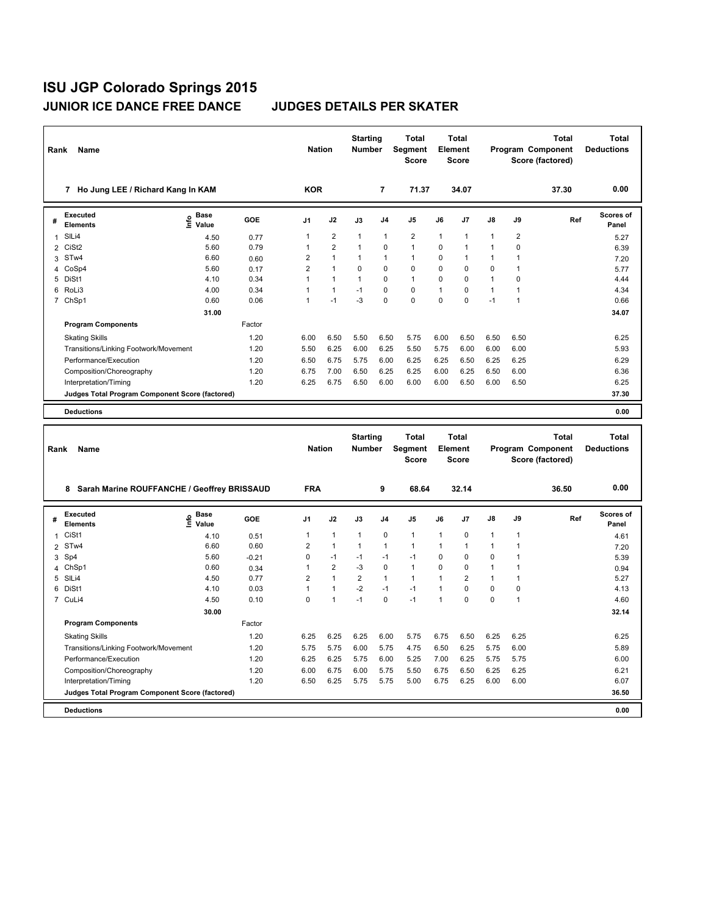| Rank           | Name                                            |                                      |         | <b>Nation</b>           |                         | <b>Starting</b><br><b>Number</b> |                | <b>Total</b><br>Segment<br><b>Score</b> |              | <b>Total</b><br><b>Element</b><br><b>Score</b> |      |                | <b>Total</b><br>Program Component<br>Score (factored) | <b>Total</b><br><b>Deductions</b> |
|----------------|-------------------------------------------------|--------------------------------------|---------|-------------------------|-------------------------|----------------------------------|----------------|-----------------------------------------|--------------|------------------------------------------------|------|----------------|-------------------------------------------------------|-----------------------------------|
|                | 7 Ho Jung LEE / Richard Kang In KAM             |                                      |         | <b>KOR</b>              |                         |                                  | $\overline{7}$ | 71.37                                   |              | 34.07                                          |      |                | 37.30                                                 | 0.00                              |
| #              | <b>Executed</b><br><b>Elements</b>              | e Base<br>⊆ Value                    | GOE     | J1                      | J2                      | J3                               | J4             | J5                                      | J6           | J7                                             | J8   | J9             | Ref                                                   | <b>Scores of</b><br>Panel         |
| $\mathbf{1}$   | SILi4                                           | 4.50                                 | 0.77    | 1                       | $\overline{2}$          | 1                                | $\mathbf{1}$   | $\overline{2}$                          | 1            | $\mathbf{1}$                                   | 1    | $\overline{2}$ |                                                       | 5.27                              |
| $\overline{2}$ | CiSt <sub>2</sub>                               | 5.60                                 | 0.79    | $\mathbf{1}$            | $\overline{2}$          | $\mathbf{1}$                     | $\mathbf 0$    | $\mathbf{1}$                            | 0            | 1                                              | 1    | 0              |                                                       | 6.39                              |
| 3              | STw4                                            | 6.60                                 | 0.60    | 2                       | $\mathbf{1}$            | 1                                | $\overline{1}$ | $\mathbf{1}$                            | 0            | $\mathbf{1}$                                   | 1    | 1              |                                                       | 7.20                              |
| 4              | CoSp4                                           | 5.60                                 | 0.17    | $\overline{2}$          | 1                       | 0                                | 0              | 0                                       | 0            | 0                                              | 0    | 1              |                                                       | 5.77                              |
|                | 5 DiSt1                                         | 4.10                                 | 0.34    | $\mathbf{1}$            | $\mathbf{1}$            | $\mathbf{1}$                     | $\pmb{0}$      | $\mathbf{1}$                            | $\mathbf 0$  | 0                                              | 1    | 0              |                                                       | 4.44                              |
| 6              | RoLi3                                           | 4.00                                 | 0.34    | 1                       | $\mathbf{1}$            | -1                               | $\mathbf 0$    | $\mathbf 0$                             | 1            | 0                                              | 1    | 1              |                                                       | 4.34                              |
|                | 7 ChSp1                                         | 0.60                                 | 0.06    | $\mathbf{1}$            | $-1$                    | $-3$                             | 0              | $\Omega$                                | 0            | $\Omega$                                       | $-1$ | 1              |                                                       | 0.66                              |
|                | <b>Program Components</b>                       | 31.00                                | Factor  |                         |                         |                                  |                |                                         |              |                                                |      |                |                                                       | 34.07                             |
|                | <b>Skating Skills</b>                           |                                      | 1.20    | 6.00                    | 6.50                    | 5.50                             | 6.50           | 5.75                                    | 6.00         | 6.50                                           | 6.50 | 6.50           |                                                       | 6.25                              |
|                | Transitions/Linking Footwork/Movement           |                                      | 1.20    | 5.50                    | 6.25                    | 6.00                             | 6.25           | 5.50                                    | 5.75         | 6.00                                           | 6.00 | 6.00           |                                                       | 5.93                              |
|                | Performance/Execution                           |                                      | 1.20    | 6.50                    | 6.75                    | 5.75                             | 6.00           | 6.25                                    | 6.25         | 6.50                                           | 6.25 | 6.25           |                                                       | 6.29                              |
|                | Composition/Choreography                        |                                      | 1.20    | 6.75                    | 7.00                    | 6.50                             | 6.25           | 6.25                                    | 6.00         | 6.25                                           | 6.50 | 6.00           |                                                       | 6.36                              |
|                | Interpretation/Timing                           |                                      | 1.20    | 6.25                    | 6.75                    | 6.50                             | 6.00           | 6.00                                    | 6.00         | 6.50                                           | 6.00 | 6.50           |                                                       | 6.25                              |
|                | Judges Total Program Component Score (factored) |                                      |         |                         |                         |                                  |                |                                         |              |                                                |      |                |                                                       | 37.30                             |
|                | <b>Deductions</b>                               |                                      |         |                         |                         |                                  |                |                                         |              |                                                |      |                |                                                       | 0.00                              |
|                |                                                 |                                      |         |                         |                         |                                  |                |                                         |              |                                                |      |                |                                                       |                                   |
|                |                                                 |                                      |         |                         |                         |                                  |                |                                         |              |                                                |      |                |                                                       |                                   |
| Rank           | Name                                            |                                      |         | <b>Nation</b>           |                         | <b>Starting</b><br>Number        |                | <b>Total</b><br>Segment<br><b>Score</b> |              | <b>Total</b><br>Element<br><b>Score</b>        |      |                | <b>Total</b><br>Program Component<br>Score (factored) | <b>Total</b><br><b>Deductions</b> |
|                | 8 Sarah Marine ROUFFANCHE / Geoffrey BRISSAUD   |                                      |         | <b>FRA</b>              |                         |                                  | 9              | 68.64                                   |              | 32.14                                          |      |                | 36.50                                                 | 0.00                              |
| #              | Executed<br><b>Elements</b>                     | Base<br>은 <sup>Base</sup><br>드 Value | GOE     | J1                      | J2                      | J3                               | J <sub>4</sub> | J5                                      | J6           | J7                                             | J8   | J9             | Ref                                                   | <b>Scores of</b><br>Panel         |
| $\mathbf{1}$   | CiSt1                                           | 4.10                                 | 0.51    | 1                       | $\mathbf{1}$            | 1                                | 0              | 1                                       | 1            | 0                                              | 1    | 1              |                                                       | 4.61                              |
| $\overline{2}$ | STw4                                            | 6.60                                 | 0.60    | 2                       | $\mathbf{1}$            | 1                                | $\mathbf{1}$   | $\mathbf{1}$                            | 1            | 1                                              | 1    | 1              |                                                       | 7.20                              |
| 3              | Sp4                                             | 5.60                                 | $-0.21$ | 0                       | $-1$                    | -1                               | -1             | $-1$                                    | 0            | 0                                              | 0    | 1              |                                                       | 5.39                              |
| 4              | ChSp1                                           | 0.60                                 | 0.34    | $\mathbf{1}$            | $\overline{\mathbf{c}}$ | $-3$                             | $\pmb{0}$      | $\mathbf{1}$                            | $\mathbf 0$  | 0                                              | 1    | 1              |                                                       | 0.94                              |
| 5              | SILi4                                           | 4.50                                 | 0.77    | $\overline{\mathbf{c}}$ | $\mathbf{1}$            | $\overline{2}$                   | $\mathbf{1}$   | $\mathbf{1}$                            | 1            | $\overline{2}$                                 | 1    | 1              |                                                       | 5.27                              |
|                | 6 DiSt1                                         | 4.10                                 | 0.03    | $\mathbf{1}$            | $\mathbf{1}$            | $-2$                             | $-1$           | $-1$                                    | $\mathbf{1}$ | 0                                              | 0    | 0              |                                                       | 4.13                              |
|                | 7 CuLi4                                         | 4.50                                 | 0.10    | $\pmb{0}$               | $\mathbf{1}$            | $-1$                             | $\pmb{0}$      | $-1$                                    | 1            | 0                                              | 0    | 1              |                                                       | 4.60                              |
|                |                                                 | 30.00                                |         |                         |                         |                                  |                |                                         |              |                                                |      |                |                                                       | 32.14                             |
|                | <b>Program Components</b>                       |                                      | Factor  |                         |                         |                                  |                |                                         |              |                                                |      |                |                                                       |                                   |
|                | <b>Skating Skills</b>                           |                                      | 1.20    | 6.25                    | 6.25                    | 6.25                             | 6.00           | 5.75                                    | 6.75         | 6.50                                           | 6.25 | 6.25           |                                                       | 6.25                              |
|                | Transitions/Linking Footwork/Movement           |                                      | 1.20    | 5.75                    | 5.75                    | 6.00                             | 5.75           | 4.75                                    | 6.50         | 6.25                                           | 5.75 | 6.00           |                                                       | 5.89                              |
|                | Performance/Execution                           |                                      | 1.20    | 6.25                    | 6.25                    | 5.75                             | 6.00           | 5.25                                    | 7.00         | 6.25                                           | 5.75 | 5.75           |                                                       | 6.00                              |
|                | Composition/Choreography                        |                                      | 1.20    | 6.00                    | 6.75                    | 6.00                             | 5.75           | 5.50                                    | 6.75         | 6.50                                           | 6.25 | 6.25           |                                                       | 6.21                              |
|                | Interpretation/Timing                           |                                      | 1.20    | 6.50                    | 6.25                    | 5.75                             | 5.75           | 5.00                                    | 6.75         | 6.25                                           | 6.00 | 6.00           |                                                       | 6.07                              |
|                | Judges Total Program Component Score (factored) |                                      |         |                         |                         |                                  |                |                                         |              |                                                |      |                |                                                       | 36.50                             |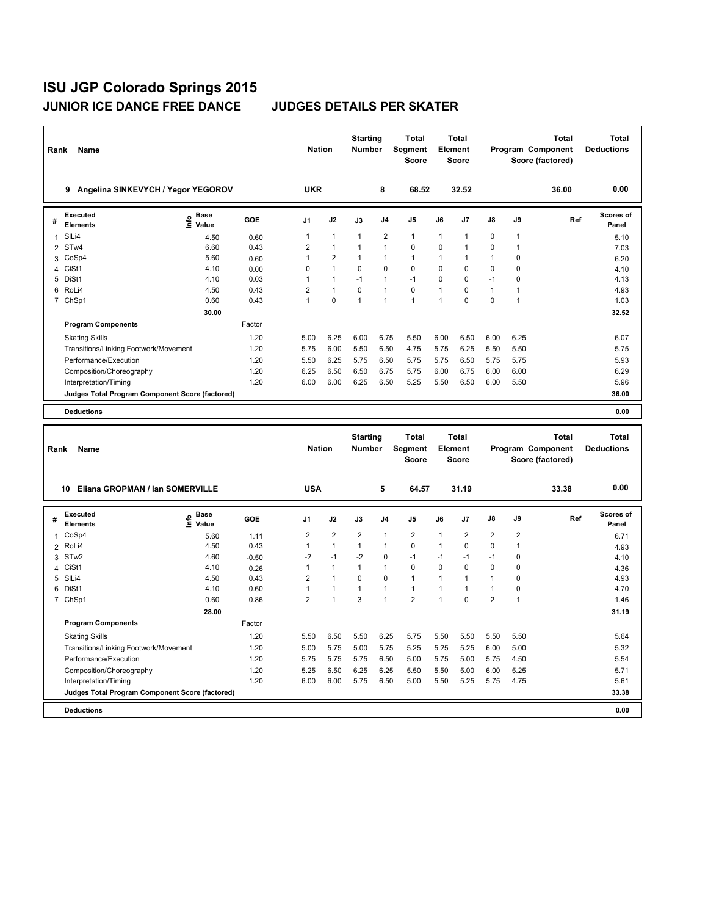| Rank           | Name                                            |                   |            |                                         | <b>Nation</b>               | <b>Starting</b><br><b>Number</b> |                                | <b>Total</b><br>Segment<br>Score |                              | Total<br>Element<br>Score                      |                             |                   | <b>Total</b><br>Program Component<br>Score (factored) | <b>Total</b><br><b>Deductions</b> |
|----------------|-------------------------------------------------|-------------------|------------|-----------------------------------------|-----------------------------|----------------------------------|--------------------------------|----------------------------------|------------------------------|------------------------------------------------|-----------------------------|-------------------|-------------------------------------------------------|-----------------------------------|
|                | 9 Angelina SINKEVYCH / Yegor YEGOROV            |                   |            | <b>UKR</b>                              |                             |                                  | 8                              | 68.52                            |                              | 32.52                                          |                             |                   | 36.00                                                 | 0.00                              |
| #              | <b>Executed</b><br><b>Elements</b>              | e Base<br>⊆ Value | <b>GOE</b> | J1                                      | J2                          | J3                               | J <sub>4</sub>                 | J5                               | J6                           | J7                                             | J8                          | J9                | Ref                                                   | Scores of<br>Panel                |
| 1              | SILi4                                           | 4.50              | 0.60       | $\mathbf{1}$                            | $\mathbf{1}$                | $\mathbf{1}$                     | $\overline{2}$                 | $\mathbf{1}$                     | $\mathbf{1}$                 | 1                                              | 0                           | 1                 |                                                       | 5.10                              |
| $\overline{2}$ | STw4                                            | 6.60              | 0.43       | $\overline{2}$                          | $\mathbf{1}$                | 1                                | $\overline{1}$                 | $\mathbf 0$                      | $\mathbf 0$                  | 1                                              | 0                           | 1                 |                                                       | 7.03                              |
| 3              | CoSp4                                           | 5.60              | 0.60       | $\mathbf{1}$                            | $\overline{2}$              | 1                                | $\overline{1}$                 | $\mathbf{1}$                     | 1                            | $\mathbf{1}$                                   | $\mathbf{1}$                | 0                 |                                                       | 6.20                              |
| 4              | CiSt1                                           | 4.10              | 0.00       | $\pmb{0}$                               | $\mathbf{1}$                | 0                                | $\mathbf 0$                    | $\mathbf 0$                      | $\mathbf 0$                  | $\mathbf 0$                                    | $\mathbf 0$                 | 0                 |                                                       | 4.10                              |
|                | 5 DiSt1                                         | 4.10              | 0.03       | 1                                       | $\mathbf{1}$                | $-1$                             | $\mathbf{1}$                   | $-1$                             | $\mathbf 0$                  | 0                                              | $-1$                        | 0                 |                                                       | 4.13                              |
| 6              | RoLi4                                           | 4.50              | 0.43       | $\overline{\mathbf{c}}$<br>$\mathbf{1}$ | $\mathbf{1}$<br>$\mathbf 0$ | 0<br>$\mathbf{1}$                | $\mathbf{1}$<br>$\overline{1}$ | $\pmb{0}$<br>$\mathbf{1}$        | $\mathbf{1}$<br>$\mathbf{1}$ | $\mathbf 0$<br>$\mathbf 0$                     | $\mathbf{1}$<br>$\mathbf 0$ | 1<br>$\mathbf{1}$ |                                                       | 4.93                              |
|                | 7 ChSp1                                         | 0.60              | 0.43       |                                         |                             |                                  |                                |                                  |                              |                                                |                             |                   |                                                       | 1.03                              |
|                |                                                 | 30.00             |            |                                         |                             |                                  |                                |                                  |                              |                                                |                             |                   |                                                       | 32.52                             |
|                | <b>Program Components</b>                       |                   | Factor     |                                         |                             |                                  |                                |                                  |                              |                                                |                             |                   |                                                       |                                   |
|                | <b>Skating Skills</b>                           |                   | 1.20       | 5.00                                    | 6.25                        | 6.00                             | 6.75                           | 5.50                             | 6.00                         | 6.50                                           | 6.00                        | 6.25              |                                                       | 6.07                              |
|                | Transitions/Linking Footwork/Movement           |                   | 1.20       | 5.75                                    | 6.00                        | 5.50                             | 6.50                           | 4.75                             | 5.75                         | 6.25                                           | 5.50                        | 5.50              |                                                       | 5.75                              |
|                | Performance/Execution                           |                   | 1.20       | 5.50                                    | 6.25                        | 5.75                             | 6.50                           | 5.75                             | 5.75                         | 6.50                                           | 5.75                        | 5.75              |                                                       | 5.93                              |
|                | Composition/Choreography                        |                   | 1.20       | 6.25                                    | 6.50                        | 6.50                             | 6.75                           | 5.75                             | 6.00                         | 6.75                                           | 6.00                        | 6.00              |                                                       | 6.29                              |
|                | Interpretation/Timing                           |                   | 1.20       | 6.00                                    | 6.00                        | 6.25                             | 6.50                           | 5.25                             | 5.50                         | 6.50                                           | 6.00                        | 5.50              |                                                       | 5.96                              |
|                | Judges Total Program Component Score (factored) |                   |            |                                         |                             |                                  |                                |                                  |                              |                                                |                             |                   |                                                       | 36.00                             |
|                | <b>Deductions</b>                               |                   |            |                                         |                             |                                  |                                |                                  |                              |                                                |                             |                   |                                                       | 0.00                              |
|                |                                                 |                   |            |                                         |                             |                                  |                                |                                  |                              |                                                |                             |                   |                                                       |                                   |
| Rank           | Name                                            |                   |            |                                         | <b>Nation</b>               | <b>Starting</b><br><b>Number</b> |                                | Total<br>Segment<br>Score        |                              | <b>Total</b><br><b>Element</b><br><b>Score</b> |                             |                   | <b>Total</b><br>Program Component<br>Score (factored) | <b>Total</b><br><b>Deductions</b> |
|                | Eliana GROPMAN / Ian SOMERVILLE<br>10           |                   |            | <b>USA</b>                              |                             |                                  | 5                              | 64.57                            |                              | 31.19                                          |                             |                   | 33.38                                                 | 0.00                              |
| #              | <b>Executed</b><br><b>Elements</b>              | e Base<br>⊆ Value | GOE        | J <sub>1</sub>                          | J2                          | J3                               | J <sub>4</sub>                 | J5                               | J6                           | J7                                             | J8                          | J9                | Ref                                                   | <b>Scores of</b><br>Panel         |
| $\mathbf{1}$   | CoSp4                                           | 5.60              | 1.11       | $\overline{\mathbf{c}}$                 | $\overline{2}$              | $\overline{2}$                   | $\overline{1}$                 | $\overline{2}$                   | 1                            | $\overline{2}$                                 | $\overline{2}$              | 2                 |                                                       | 6.71                              |
| $\overline{2}$ | RoLi4                                           | 4.50              | 0.43       | $\mathbf{1}$                            | $\mathbf{1}$                | $\mathbf{1}$                     | $\overline{1}$                 | 0                                | 1                            | 0                                              | 0                           | 1                 |                                                       | 4.93                              |
| 3              | STw <sub>2</sub>                                | 4.60              | $-0.50$    | $-2$                                    | $-1$                        | $-2$                             | $\pmb{0}$                      | $-1$                             | $-1$                         | $-1$                                           | $-1$                        | 0                 |                                                       | 4.10                              |
| 4              | CiSt1                                           | 4.10              | 0.26       | $\mathbf{1}$                            | $\mathbf{1}$                | 1                                | $\overline{1}$                 | $\mathbf 0$                      | 0                            | 0                                              | 0                           | 0                 |                                                       | 4.36                              |
| 5              | SILi4                                           | 4.50              | 0.43       | 2                                       | $\mathbf{1}$                | 0                                | $\pmb{0}$                      | $\mathbf{1}$                     | 1                            | $\mathbf{1}$                                   | 1                           | 0                 |                                                       | 4.93                              |
| 6              | DiSt1                                           | 4.10              | 0.60       | $\mathbf{1}$                            | $\mathbf{1}$                | 1                                | $\overline{1}$                 | $\mathbf{1}$                     | 1                            | 1                                              | 1                           | 0                 |                                                       | 4.70                              |
|                | 7 ChSp1                                         | 0.60              | 0.86       | $\overline{\mathbf{c}}$                 | $\mathbf{1}$                | 3                                | $\overline{1}$                 | $\overline{2}$                   | $\mathbf{1}$                 | 0                                              | $\overline{2}$              | 1                 |                                                       | 1.46                              |
|                |                                                 | 28.00             |            |                                         |                             |                                  |                                |                                  |                              |                                                |                             |                   |                                                       | 31.19                             |
|                | <b>Program Components</b>                       |                   | Factor     |                                         |                             |                                  |                                |                                  |                              |                                                |                             |                   |                                                       |                                   |
|                | <b>Skating Skills</b>                           |                   | 1.20       | 5.50                                    | 6.50                        | 5.50                             | 6.25                           | 5.75                             | 5.50                         | 5.50                                           | 5.50                        | 5.50              |                                                       | 5.64                              |
|                | Transitions/Linking Footwork/Movement           |                   | 1.20       | 5.00                                    | 5.75                        | 5.00                             | 5.75                           | 5.25                             | 5.25                         | 5.25                                           | 6.00                        | 5.00              |                                                       | 5.32                              |
|                | Performance/Execution                           |                   | 1.20       | 5.75                                    | 5.75                        | 5.75                             | 6.50                           | 5.00                             | 5.75                         | 5.00                                           | 5.75                        | 4.50              |                                                       | 5.54                              |
|                | Composition/Choreography                        |                   | 1.20       | 5.25                                    | 6.50                        | 6.25                             | 6.25                           | 5.50                             | 5.50                         | 5.00                                           | 6.00                        | 5.25              |                                                       | 5.71                              |
|                | Interpretation/Timing                           |                   | 1.20       | 6.00                                    | 6.00                        | 5.75                             | 6.50                           | 5.00                             | 5.50                         | 5.25                                           | 5.75                        | 4.75              |                                                       | 5.61                              |
|                | Judges Total Program Component Score (factored) |                   |            |                                         |                             |                                  |                                |                                  |                              |                                                |                             |                   |                                                       | 33.38                             |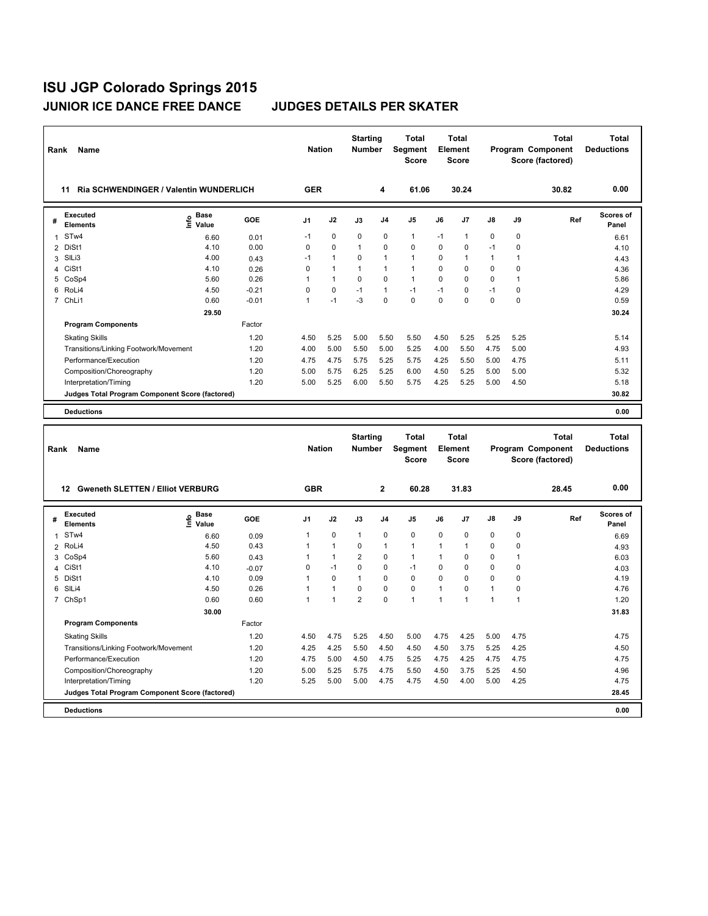| Rank           | Name                                                                 |                   |         | <b>Nation</b>     |              | <b>Starting</b><br><b>Number</b> |                | Total<br>Segment<br><b>Score</b> | Element      | <b>Total</b><br><b>Score</b> |              |      | <b>Total</b><br>Program Component<br>Score (factored) | Total<br><b>Deductions</b>        |
|----------------|----------------------------------------------------------------------|-------------------|---------|-------------------|--------------|----------------------------------|----------------|----------------------------------|--------------|------------------------------|--------------|------|-------------------------------------------------------|-----------------------------------|
|                | Ria SCHWENDINGER / Valentin WUNDERLICH<br>11                         |                   |         | <b>GER</b>        |              |                                  | 4              | 61.06                            |              | 30.24                        |              |      | 30.82                                                 | 0.00                              |
| #              | <b>Executed</b><br>Elements                                          | e Base<br>⊆ Value | GOE     | J <sub>1</sub>    | J2           | J3                               | J <sub>4</sub> | J5                               | J6           | J7                           | J8           | J9   | Ref                                                   | Scores of<br>Panel                |
| $\mathbf{1}$   | STw4                                                                 | 6.60              | 0.01    | $-1$              | 0            | 0                                | $\pmb{0}$      | $\mathbf{1}$                     | $-1$         | 1                            | 0            | 0    |                                                       | 6.61                              |
| $\overline{2}$ | DiSt1                                                                | 4.10              | 0.00    | 0                 | 0            | 1                                | $\mathbf 0$    | 0                                | 0            | 0                            | $-1$         | 0    |                                                       | 4.10                              |
| 3              | SILi3                                                                | 4.00              | 0.43    | $-1$              | $\mathbf{1}$ | 0                                | $\mathbf{1}$   | $\mathbf{1}$                     | 0            | 1                            | 1            | 1    |                                                       | 4.43                              |
| 4              | CiSt1                                                                | 4.10              | 0.26    | 0                 | $\mathbf{1}$ | 1                                | $\overline{1}$ | $\mathbf{1}$                     | 0            | 0                            | 0            | 0    |                                                       | 4.36                              |
|                | 5 CoSp4                                                              | 5.60              | 0.26    | 1                 | $\mathbf{1}$ | $\Omega$                         | $\Omega$       | $\mathbf{1}$                     | $\Omega$     | $\Omega$                     | 0            | 1    |                                                       | 5.86                              |
| 6              | RoLi4                                                                | 4.50              | $-0.21$ | 0<br>$\mathbf{1}$ | $\pmb{0}$    | $-1$                             | $\overline{1}$ | $-1$                             | $-1$         | 0<br>$\Omega$                | $-1$         | 0    |                                                       | 4.29                              |
|                | 7 ChLi1                                                              | 0.60              | $-0.01$ |                   | $-1$         | $-3$                             | $\pmb{0}$      | $\pmb{0}$                        | $\mathbf 0$  |                              | 0            | 0    |                                                       | 0.59                              |
|                | <b>Program Components</b>                                            | 29.50             | Factor  |                   |              |                                  |                |                                  |              |                              |              |      |                                                       | 30.24                             |
|                | <b>Skating Skills</b>                                                |                   | 1.20    | 4.50              | 5.25         | 5.00                             | 5.50           | 5.50                             | 4.50         | 5.25                         | 5.25         | 5.25 |                                                       | 5.14                              |
|                | Transitions/Linking Footwork/Movement                                |                   | 1.20    | 4.00              | 5.00         | 5.50                             | 5.00           | 5.25                             | 4.00         | 5.50                         | 4.75         | 5.00 |                                                       | 4.93                              |
|                | Performance/Execution                                                |                   | 1.20    | 4.75              | 4.75         | 5.75                             | 5.25           | 5.75                             | 4.25         | 5.50                         | 5.00         | 4.75 |                                                       | 5.11                              |
|                | Composition/Choreography                                             |                   | 1.20    | 5.00              | 5.75         | 6.25                             | 5.25           | 6.00                             | 4.50         | 5.25                         | 5.00         | 5.00 |                                                       | 5.32                              |
|                | Interpretation/Timing                                                |                   | 1.20    | 5.00              | 5.25         | 6.00                             | 5.50           | 5.75                             | 4.25         | 5.25                         | 5.00         | 4.50 |                                                       | 5.18                              |
|                | Judges Total Program Component Score (factored)                      |                   |         |                   |              |                                  |                |                                  |              |                              |              |      |                                                       | 30.82                             |
|                | <b>Deductions</b>                                                    |                   |         |                   |              |                                  |                |                                  |              |                              |              |      |                                                       | 0.00                              |
|                |                                                                      |                   |         |                   |              |                                  |                |                                  |              |                              |              |      |                                                       |                                   |
|                |                                                                      |                   |         |                   |              |                                  |                |                                  |              |                              |              |      |                                                       |                                   |
| Rank           | Name                                                                 |                   |         | <b>Nation</b>     |              | <b>Starting</b><br><b>Number</b> |                | <b>Total</b><br>Segment<br>Score | Element      | Total<br><b>Score</b>        |              |      | <b>Total</b><br>Program Component<br>Score (factored) | <b>Total</b><br><b>Deductions</b> |
|                | 12 Gweneth SLETTEN / Elliot VERBURG                                  |                   |         | <b>GBR</b>        |              |                                  | $\overline{2}$ | 60.28                            |              | 31.83                        |              |      | 28.45                                                 | 0.00                              |
| #              | <b>Executed</b><br><b>Elements</b>                                   | e Base<br>E Value | GOE     | J1                | J2           | J3                               | J4             | J5                               | J6           | J7                           | J8           | J9   | Ref                                                   | <b>Scores of</b><br>Panel         |
| $\mathbf{1}$   | ST <sub>w</sub> 4                                                    | 6.60              | 0.09    | 1                 | 0            | 1                                | $\mathbf 0$    | 0                                | $\mathbf 0$  | 0                            | 0            | 0    |                                                       | 6.69                              |
| $\overline{2}$ | RoLi4                                                                | 4.50              | 0.43    | $\mathbf{1}$      | $\mathbf{1}$ | 0                                | $\overline{1}$ | $\mathbf{1}$                     | 1            | 1                            | 0            | 0    |                                                       | 4.93                              |
| 3              | CoSp4                                                                | 5.60              | 0.43    | 1                 | $\mathbf{1}$ | $\overline{2}$                   | $\mathbf 0$    | $\mathbf{1}$                     | 1            | 0                            | 0            | 1    |                                                       | 6.03                              |
| 4              | CiSt1                                                                | 4.10              | $-0.07$ | 0                 | $-1$         | 0                                | $\Omega$       | $-1$                             | 0            | $\Omega$                     | 0            | 0    |                                                       | 4.03                              |
| 5              | DiSt1                                                                | 4.10              | 0.09    | $\mathbf{1}$      | $\pmb{0}$    | 1                                | $\mathbf 0$    | $\mathbf 0$                      | $\mathbf 0$  | 0                            | 0            | 0    |                                                       | 4.19                              |
| 6              | SILi4                                                                | 4.50              | 0.26    | 1                 | $\mathbf{1}$ | 0                                | 0              | $\mathbf 0$                      | $\mathbf{1}$ | 0                            | 1            | 0    |                                                       | 4.76                              |
|                | 7 ChSp1                                                              | 0.60              | 0.60    | $\mathbf{1}$      | $\mathbf{1}$ | $\overline{2}$                   | $\mathbf 0$    | $\mathbf{1}$                     | $\mathbf{1}$ | $\mathbf{1}$                 | $\mathbf{1}$ | 1    |                                                       | 1.20                              |
|                |                                                                      | 30.00             |         |                   |              |                                  |                |                                  |              |                              |              |      |                                                       | 31.83                             |
|                | <b>Program Components</b>                                            |                   | Factor  |                   |              |                                  |                |                                  |              |                              |              |      |                                                       |                                   |
|                | <b>Skating Skills</b>                                                |                   | 1.20    | 4.50              | 4.75         | 5.25                             | 4.50           | 5.00                             | 4.75         | 4.25                         | 5.00         | 4.75 |                                                       | 4.75                              |
|                | Transitions/Linking Footwork/Movement                                |                   | 1.20    | 4.25              | 4.25         | 5.50                             | 4.50           | 4.50                             | 4.50         | 3.75                         | 5.25         | 4.25 |                                                       | 4.50                              |
|                | Performance/Execution                                                |                   | 1.20    | 4.75              | 5.00         | 4.50                             | 4.75           | 5.25                             | 4.75         | 4.25                         | 4.75         | 4.75 |                                                       | 4.75                              |
|                | Composition/Choreography                                             |                   | 1.20    | 5.00              | 5.25         | 5.75                             | 4.75           | 5.50                             | 4.50         | 3.75                         | 5.25         | 4.50 |                                                       | 4.96                              |
|                | Interpretation/Timing                                                |                   | 1.20    | 5.25              | 5.00         | 5.00                             | 4.75           | 4.75                             | 4.50         | 4.00                         | 5.00         | 4.25 |                                                       | 4.75                              |
|                | Judges Total Program Component Score (factored)<br><b>Deductions</b> |                   |         |                   |              |                                  |                |                                  |              |                              |              |      |                                                       | 28.45<br>0.00                     |